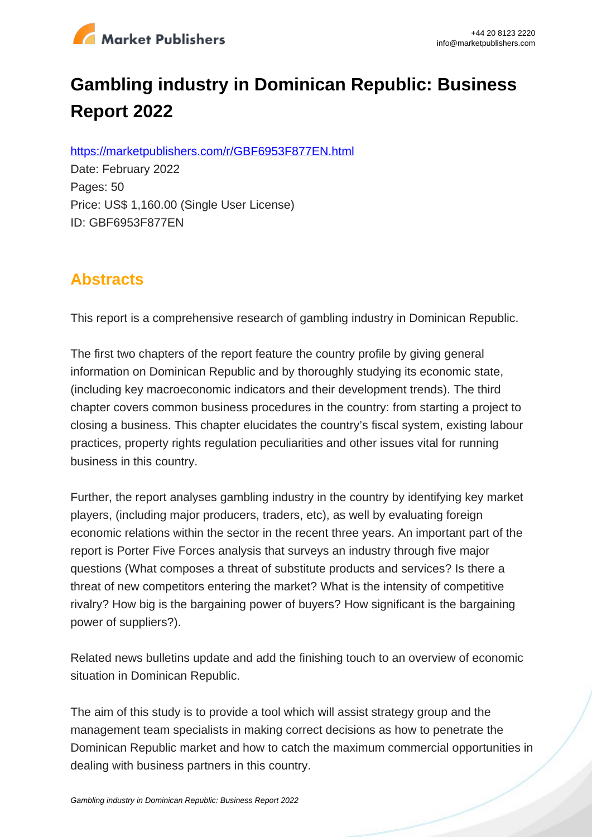

# **Gambling industry in Dominican Republic: Business Report 2022**

https://marketpublishers.com/r/GBF6953F877EN.html

Date: February 2022 Pages: 50 Price: US\$ 1,160.00 (Single User License) ID: GBF6953F877EN

# **Abstracts**

This report is a comprehensive research of gambling industry in Dominican Republic.

The first two chapters of the report feature the country profile by giving general information on Dominican Republic and by thoroughly studying its economic state, (including key macroeconomic indicators and their development trends). The third chapter covers common business procedures in the country: from starting a project to closing a business. This chapter elucidates the country's fiscal system, existing labour practices, property rights regulation peculiarities and other issues vital for running business in this country.

Further, the report analyses gambling industry in the country by identifying key market players, (including major producers, traders, etc), as well by evaluating foreign economic relations within the sector in the recent three years. An important part of the report is Porter Five Forces analysis that surveys an industry through five major questions (What composes a threat of substitute products and services? Is there a threat of new competitors entering the market? What is the intensity of competitive rivalry? How big is the bargaining power of buyers? How significant is the bargaining power of suppliers?).

Related news bulletins update and add the finishing touch to an overview of economic situation in Dominican Republic.

The aim of this study is to provide a tool which will assist strategy group and the management team specialists in making correct decisions as how to penetrate the Dominican Republic market and how to catch the maximum commercial opportunities in dealing with business partners in this country.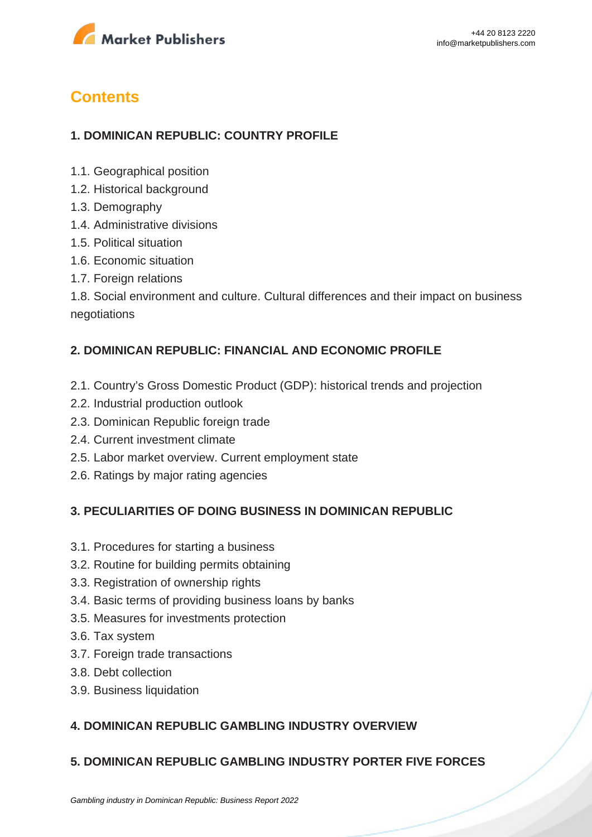

# **Contents**

# **1. DOMINICAN REPUBLIC: COUNTRY PROFILE**

- 1.1. Geographical position
- 1.2. Historical background
- 1.3. Demography
- 1.4. Administrative divisions
- 1.5. Political situation
- 1.6. Economic situation
- 1.7. Foreign relations

1.8. Social environment and culture. Cultural differences and their impact on business negotiations

## **2. DOMINICAN REPUBLIC: FINANCIAL AND ECONOMIC PROFILE**

- 2.1. Country's Gross Domestic Product (GDP): historical trends and projection
- 2.2. Industrial production outlook
- 2.3. Dominican Republic foreign trade
- 2.4. Current investment climate
- 2.5. Labor market overview. Current employment state
- 2.6. Ratings by major rating agencies

### **3. PECULIARITIES OF DOING BUSINESS IN DOMINICAN REPUBLIC**

- 3.1. Procedures for starting a business
- 3.2. Routine for building permits obtaining
- 3.3. Registration of ownership rights
- 3.4. Basic terms of providing business loans by banks
- 3.5. Measures for investments protection
- 3.6. Tax system
- 3.7. Foreign trade transactions
- 3.8. Debt collection
- 3.9. Business liquidation

# **4. DOMINICAN REPUBLIC GAMBLING INDUSTRY OVERVIEW**

### **5. DOMINICAN REPUBLIC GAMBLING INDUSTRY PORTER FIVE FORCES**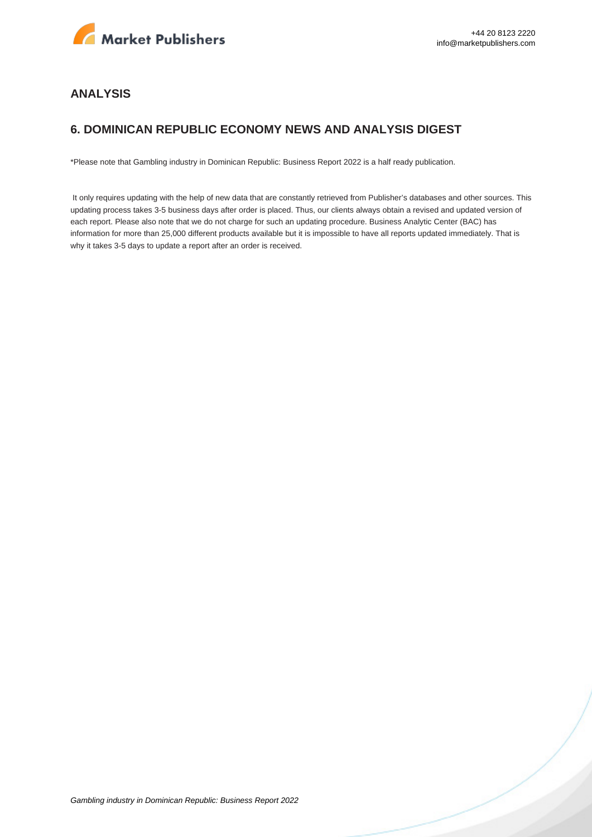

#### **ANALYSIS**

#### **6. DOMINICAN REPUBLIC ECONOMY NEWS AND ANALYSIS DIGEST**

\*Please note that Gambling industry in Dominican Republic: Business Report 2022 is a half ready publication.

 It only requires updating with the help of new data that are constantly retrieved from Publisher's databases and other sources. This updating process takes 3-5 business days after order is placed. Thus, our clients always obtain a revised and updated version of each report. Please also note that we do not charge for such an updating procedure. Business Analytic Center (BAC) has information for more than 25,000 different products available but it is impossible to have all reports updated immediately. That is why it takes 3-5 days to update a report after an order is received.